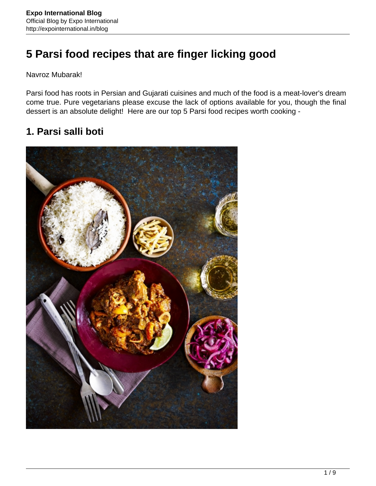# **5 Parsi food recipes that are finger licking good**

Navroz Mubarak!

Parsi food has roots in Persian and Gujarati cuisines and much of the food is a meat-lover's dream come true. Pure vegetarians please excuse the lack of options available for you, though the final dessert is an absolute delight! Here are our top 5 Parsi food recipes worth cooking -

## **1. Parsi salli boti**

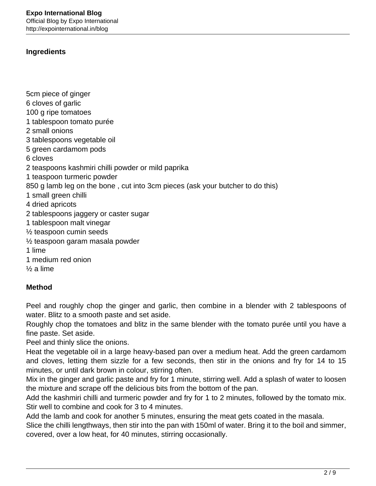### **Ingredients**

5cm piece of ginger

6 cloves of garlic 100 g ripe tomatoes 1 tablespoon tomato purée 2 small onions 3 tablespoons vegetable oil 5 green cardamom pods 6 cloves 2 teaspoons kashmiri chilli powder or mild paprika 1 teaspoon turmeric powder 850 g lamb leg on the bone , cut into 3cm pieces (ask your butcher to do this) 1 small green chilli 4 dried apricots 2 tablespoons jaggery or caster sugar 1 tablespoon malt vinegar ½ teaspoon cumin seeds ½ teaspoon garam masala powder 1 lime 1 medium red onion ½ a lime

## **Method**

Peel and roughly chop the ginger and garlic, then combine in a blender with 2 tablespoons of water. Blitz to a smooth paste and set aside.

Roughly chop the tomatoes and blitz in the same blender with the tomato purée until you have a fine paste. Set aside.

Peel and thinly slice the onions.

Heat the vegetable oil in a large heavy-based pan over a medium heat. Add the green cardamom and cloves, letting them sizzle for a few seconds, then stir in the onions and fry for 14 to 15 minutes, or until dark brown in colour, stirring often.

Mix in the ginger and garlic paste and fry for 1 minute, stirring well. Add a splash of water to loosen the mixture and scrape off the delicious bits from the bottom of the pan.

Add the kashmiri chilli and turmeric powder and fry for 1 to 2 minutes, followed by the tomato mix. Stir well to combine and cook for 3 to 4 minutes.

Add the lamb and cook for another 5 minutes, ensuring the meat gets coated in the masala.

Slice the chilli lengthways, then stir into the pan with 150ml of water. Bring it to the boil and simmer, covered, over a low heat, for 40 minutes, stirring occasionally.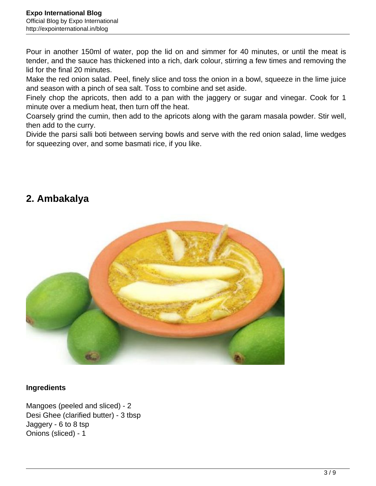Pour in another 150ml of water, pop the lid on and simmer for 40 minutes, or until the meat is tender, and the sauce has thickened into a rich, dark colour, stirring a few times and removing the lid for the final 20 minutes.

Make the red onion salad. Peel, finely slice and toss the onion in a bowl, squeeze in the lime juice and season with a pinch of sea salt. Toss to combine and set aside.

Finely chop the apricots, then add to a pan with the jaggery or sugar and vinegar. Cook for 1 minute over a medium heat, then turn off the heat.

Coarsely grind the cumin, then add to the apricots along with the garam masala powder. Stir well, then add to the curry.

Divide the parsi salli boti between serving bowls and serve with the red onion salad, lime wedges for squeezing over, and some basmati rice, if you like.

## **2. Ambakalya**



## **Ingredients**

Mangoes (peeled and sliced) - 2 Desi Ghee (clarified butter) - 3 tbsp Jaggery - 6 to 8 tsp Onions (sliced) - 1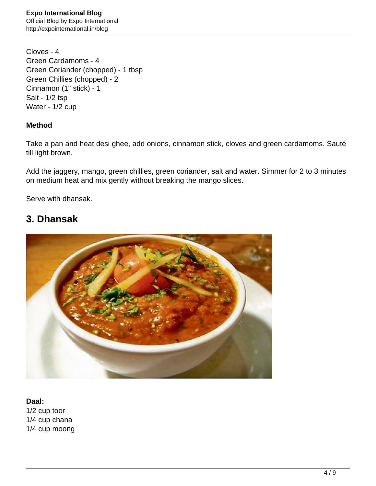Cloves - 4 Green Cardamoms - 4 Green Coriander (chopped) - 1 tbsp Green Chillies (chopped) - 2 Cinnamon (1" stick) - 1 Salt - 1/2 tsp Water - 1/2 cup

## **Method**

Take a pan and heat desi ghee, add onions, cinnamon stick, cloves and green cardamoms. Sauté till light brown.

Add the jaggery, mango, green chillies, green coriander, salt and water. Simmer for 2 to 3 minutes on medium heat and mix gently without breaking the mango slices.

Serve with dhansak.

## **3. Dhansak**



#### **Daal:**

1/2 cup toor 1/4 cup chana 1/4 cup moong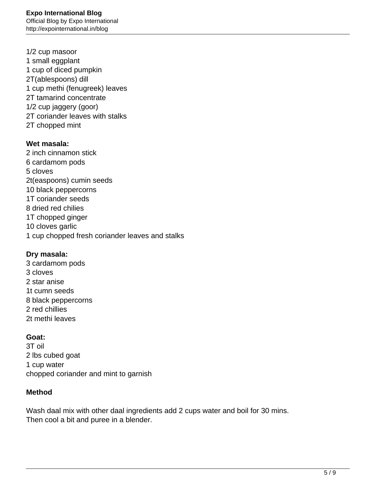1/2 cup masoor 1 small eggplant 1 cup of diced pumpkin 2T(ablespoons) dill 1 cup methi (fenugreek) leaves 2T tamarind concentrate 1/2 cup jaggery (goor) 2T coriander leaves with stalks 2T chopped mint

#### **Wet masala:**

2 inch cinnamon stick 6 cardamom pods 5 cloves 2t(easpoons) cumin seeds 10 black peppercorns 1T coriander seeds 8 dried red chilies 1T chopped ginger 10 cloves garlic 1 cup chopped fresh coriander leaves and stalks

#### **Dry masala:**

3 cardamom pods 3 cloves 2 star anise 1t cumn seeds 8 black peppercorns 2 red chillies 2t methi leaves

## **Goat:**

3T oil 2 lbs cubed goat 1 cup water chopped coriander and mint to garnish

## **Method**

Wash daal mix with other daal ingredients add 2 cups water and boil for 30 mins. Then cool a bit and puree in a blender.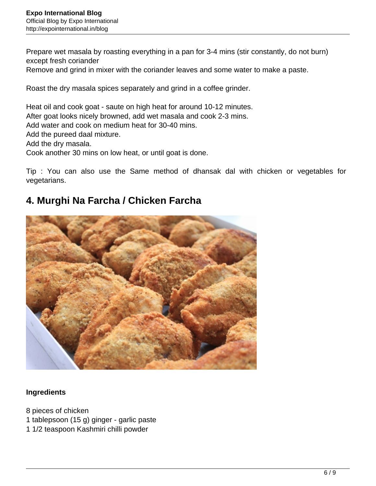Prepare wet masala by roasting everything in a pan for 3-4 mins (stir constantly, do not burn) except fresh coriander Remove and grind in mixer with the coriander leaves and some water to make a paste.

Roast the dry masala spices separately and grind in a coffee grinder.

Heat oil and cook goat - saute on high heat for around 10-12 minutes. After goat looks nicely browned, add wet masala and cook 2-3 mins. Add water and cook on medium heat for 30-40 mins. Add the pureed daal mixture. Add the dry masala. Cook another 30 mins on low heat, or until goat is done.

Tip : You can also use the Same method of dhansak dal with chicken or vegetables for vegetarians.

## **4. Murghi Na Farcha / Chicken Farcha**



## **Ingredients**

- 8 pieces of chicken
- 1 tablepsoon (15 g) ginger garlic paste
- 1 1/2 teaspoon Kashmiri chilli powder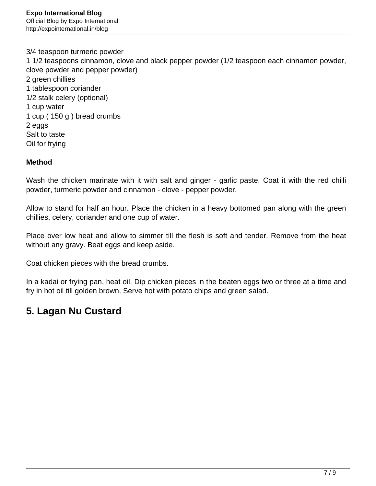3/4 teaspoon turmeric powder 1 1/2 teaspoons cinnamon, clove and black pepper powder (1/2 teaspoon each cinnamon powder, clove powder and pepper powder) 2 green chillies 1 tablespoon coriander 1/2 stalk celery (optional) 1 cup water 1 cup ( 150 g ) bread crumbs 2 eggs Salt to taste Oil for frying

#### **Method**

Wash the chicken marinate with it with salt and ginger - garlic paste. Coat it with the red chilli powder, turmeric powder and cinnamon - clove - pepper powder.

Allow to stand for half an hour. Place the chicken in a heavy bottomed pan along with the green chillies, celery, coriander and one cup of water.

Place over low heat and allow to simmer till the flesh is soft and tender. Remove from the heat without any gravy. Beat eggs and keep aside.

Coat chicken pieces with the bread crumbs.

In a kadai or frying pan, heat oil. Dip chicken pieces in the beaten eggs two or three at a time and fry in hot oil till golden brown. Serve hot with potato chips and green salad.

## **5. Lagan Nu Custard**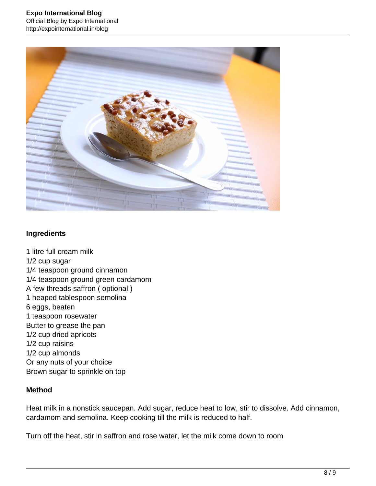

## **Ingredients**

1 litre full cream milk 1/2 cup sugar 1/4 teaspoon ground cinnamon 1/4 teaspoon ground green cardamom A few threads saffron ( optional ) 1 heaped tablespoon semolina 6 eggs, beaten 1 teaspoon rosewater Butter to grease the pan 1/2 cup dried apricots 1/2 cup raisins 1/2 cup almonds Or any nuts of your choice Brown sugar to sprinkle on top

## **Method**

Heat milk in a nonstick saucepan. Add sugar, reduce heat to low, stir to dissolve. Add cinnamon, cardamom and semolina. Keep cooking till the milk is reduced to half.

Turn off the heat, stir in saffron and rose water, let the milk come down to room